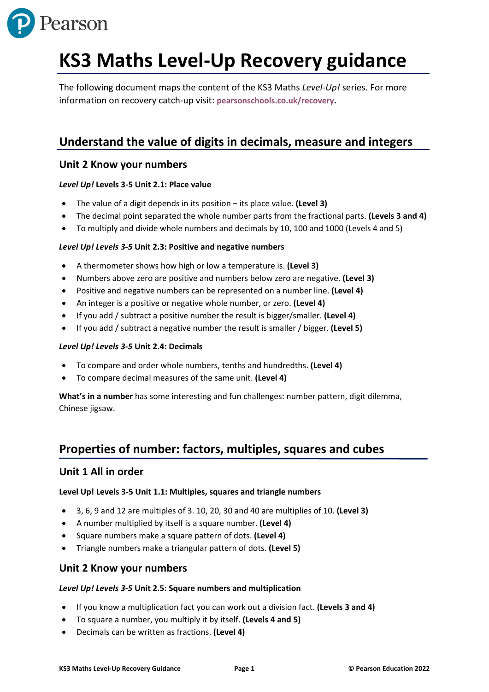

# **KS3 Maths Level-Up Recovery guidance**

The following document maps the content of the KS3 Maths *Level-Up!* series. For more information on recovery catch-up visit: **[pearsonschools.co.uk/recovery.](https://www.pearsonschoolsandfecolleges.co.uk/secondary/global-pages/secondary-funding-for-education-recovery?utm_source=pearson&utm_medium=print&utm_campaign=GBEDGS0322RECOV&utm_content=recoverypack)**

# **Understand the value of digits in decimals, measure and integers**

# **Unit 2 Know your numbers**

# *Level Up!* **Levels 3-5 Unit 2.1: Place value**

- The value of a digit depends in its position its place value. **(Level 3)**
- The decimal point separated the whole number parts from the fractional parts. **(Levels 3 and 4)**
- To multiply and divide whole numbers and decimals by 10, 100 and 1000 (Levels 4 and 5)

# *Level Up! Levels 3-5* **Unit 2.3: Positive and negative numbers**

- A thermometer shows how high or low a temperature is. **(Level 3)**
- Numbers above zero are positive and numbers below zero are negative. **(Level 3)**
- Positive and negative numbers can be represented on a number line. **(Level 4)**
- An integer is a positive or negative whole number, or zero. **(Level 4)**
- If you add / subtract a positive number the result is bigger/smaller. **(Level 4)**
- If you add / subtract a negative number the result is smaller / bigger. **(Level 5)**

# *Level Up! Levels 3-5* **Unit 2.4: Decimals**

- To compare and order whole numbers, tenths and hundredths. **(Level 4)**
- To compare decimal measures of the same unit. **(Level 4)**

**What's in a number** has some interesting and fun challenges: number pattern, digit dilemma, Chinese jigsaw.

# **Properties of number: factors, multiples, squares and cubes**

# **Unit 1 All in order**

# **Level Up! Levels 3-5 Unit 1.1: Multiples, squares and triangle numbers**

- 3, 6, 9 and 12 are multiples of 3. 10, 20, 30 and 40 are multiplies of 10. **(Level 3)**
- A number multiplied by itself is a square number. **(Level 4)**
- Square numbers make a square pattern of dots. **(Level 4)**
- Triangle numbers make a triangular pattern of dots. **(Level 5)**

# **Unit 2 Know your numbers**

# *Level Up! Levels 3-5* **Unit 2.5: Square numbers and multiplication**

- If you know a multiplication fact you can work out a division fact. **(Levels 3 and 4)**
- To square a number, you multiply it by itself. **(Levels 4 and 5)**
- Decimals can be written as fractions. **(Level 4)**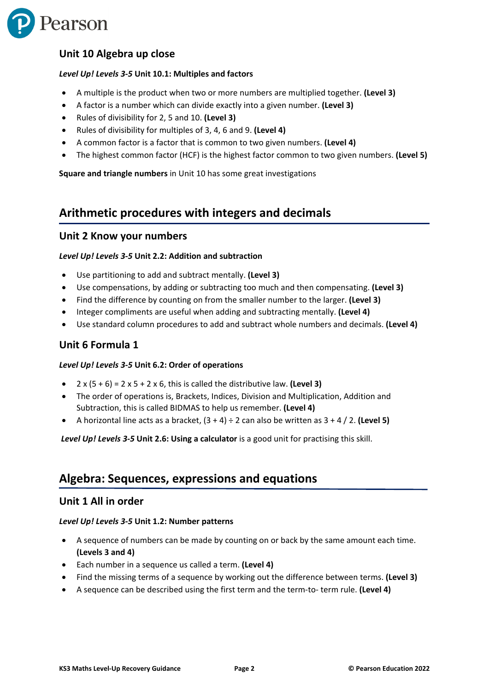

# **Unit 10 Algebra up close**

#### *Level Up! Levels 3-5* **Unit 10.1: Multiples and factors**

- A multiple is the product when two or more numbers are multiplied together. **(Level 3)**
- A factor is a number which can divide exactly into a given number. **(Level 3)**
- Rules of divisibility for 2, 5 and 10. **(Level 3)**
- Rules of divisibility for multiples of 3, 4, 6 and 9. **(Level 4)**
- A common factor is a factor that is common to two given numbers. **(Level 4)**
- The highest common factor (HCF) is the highest factor common to two given numbers. **(Level 5)**

**Square and triangle numbers** in Unit 10 has some great investigations

# **Arithmetic procedures with integers and decimals**

#### **Unit 2 Know your numbers**

#### *Level Up! Levels 3-5* **Unit 2.2: Addition and subtraction**

- Use partitioning to add and subtract mentally. **(Level 3)**
- Use compensations, by adding or subtracting too much and then compensating. **(Level 3)**
- Find the difference by counting on from the smaller number to the larger. **(Level 3)**
- Integer compliments are useful when adding and subtracting mentally. **(Level 4)**
- Use standard column procedures to add and subtract whole numbers and decimals. **(Level 4)**

### **Unit 6 Formula 1**

#### *Level Up! Levels 3-5* **Unit 6.2: Order of operations**

- $\bullet$  2 x (5 + 6) = 2 x 5 + 2 x 6, this is called the distributive law. (Level 3)
- The order of operations is, Brackets, Indices, Division and Multiplication, Addition and Subtraction, this is called BIDMAS to help us remember. **(Level 4)**
- A horizontal line acts as a bracket,  $(3 + 4) \div 2$  can also be written as  $3 + 4 / 2$ . (Level 5)

*Level Up! Levels 3-5* **Unit 2.6: Using a calculator** is a good unit for practising this skill.

# **Algebra: Sequences, expressions and equations**

#### **Unit 1 All in order**

#### *Level Up! Levels 3-5* **Unit 1.2: Number patterns**

- A sequence of numbers can be made by counting on or back by the same amount each time. **(Levels 3 and 4)**
- Each number in a sequence us called a term. **(Level 4)**
- Find the missing terms of a sequence by working out the difference between terms. **(Level 3)**
- A sequence can be described using the first term and the term-to- term rule. **(Level 4)**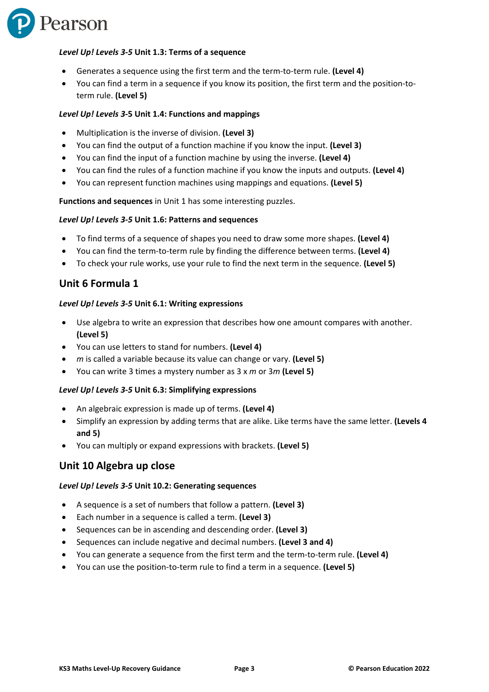

#### *Level Up! Levels 3-5* **Unit 1.3: Terms of a sequence**

- Generates a sequence using the first term and the term-to-term rule. **(Level 4)**
- You can find a term in a sequence if you know its position, the first term and the position-toterm rule. **(Level 5)**

#### *Level Up! Levels 3-***5 Unit 1.4: Functions and mappings**

- Multiplication is the inverse of division. **(Level 3)**
- You can find the output of a function machine if you know the input. **(Level 3)**
- You can find the input of a function machine by using the inverse. **(Level 4)**
- You can find the rules of a function machine if you know the inputs and outputs. **(Level 4)**
- You can represent function machines using mappings and equations. **(Level 5)**

**Functions and sequences** in Unit 1 has some interesting puzzles.

#### *Level Up! Levels 3-5* **Unit 1.6: Patterns and sequences**

- To find terms of a sequence of shapes you need to draw some more shapes. **(Level 4)**
- You can find the term-to-term rule by finding the difference between terms. **(Level 4)**
- To check your rule works, use your rule to find the next term in the sequence. **(Level 5)**

## **Unit 6 Formula 1**

#### *Level Up! Levels 3-5* **Unit 6.1: Writing expressions**

- Use algebra to write an expression that describes how one amount compares with another. **(Level 5)**
- You can use letters to stand for numbers. **(Level 4)**
- *m* is called a variable because its value can change or vary. **(Level 5)**
- You can write 3 times a mystery number as 3 x *m* or 3*m* **(Level 5)**

#### *Level Up! Levels 3-5* **Unit 6.3: Simplifying expressions**

- An algebraic expression is made up of terms. **(Level 4)**
- Simplify an expression by adding terms that are alike. Like terms have the same letter. **(Levels 4 and 5)**
- You can multiply or expand expressions with brackets. **(Level 5)**

#### **Unit 10 Algebra up close**

#### *Level Up! Levels 3-5* **Unit 10.2: Generating sequences**

- A sequence is a set of numbers that follow a pattern. **(Level 3)**
- Each number in a sequence is called a term. **(Level 3)**
- Sequences can be in ascending and descending order. **(Level 3)**
- Sequences can include negative and decimal numbers. **(Level 3 and 4)**
- You can generate a sequence from the first term and the term-to-term rule. **(Level 4)**
- You can use the position-to-term rule to find a term in a sequence. **(Level 5)**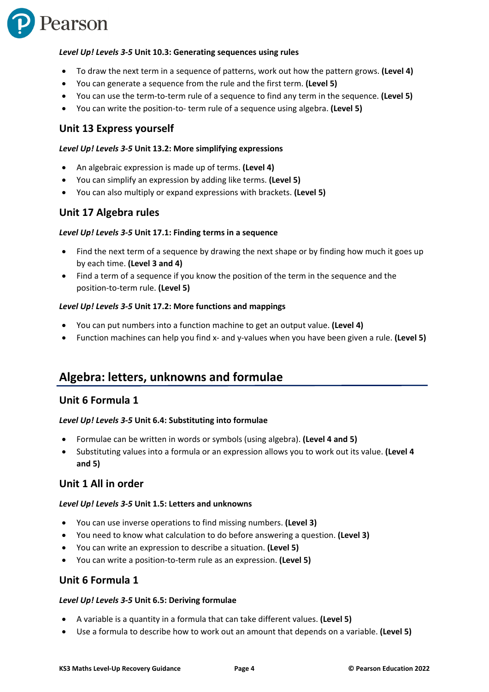

#### *Level Up! Levels 3-5* **Unit 10.3: Generating sequences using rules**

- To draw the next term in a sequence of patterns, work out how the pattern grows. **(Level 4)**
- You can generate a sequence from the rule and the first term. **(Level 5)**
- You can use the term-to-term rule of a sequence to find any term in the sequence. **(Level 5)**
- You can write the position-to- term rule of a sequence using algebra. **(Level 5)**

### **Unit 13 Express yourself**

#### *Level Up! Levels 3-5* **Unit 13.2: More simplifying expressions**

- An algebraic expression is made up of terms. **(Level 4)**
- You can simplify an expression by adding like terms. **(Level 5)**
- You can also multiply or expand expressions with brackets. **(Level 5)**

## **Unit 17 Algebra rules**

#### *Level Up! Levels 3-5* **Unit 17.1: Finding terms in a sequence**

- Find the next term of a sequence by drawing the next shape or by finding how much it goes up by each time. **(Level 3 and 4)**
- Find a term of a sequence if you know the position of the term in the sequence and the position-to-term rule. **(Level 5)**

#### *Level Up! Levels 3-5* **Unit 17.2: More functions and mappings**

- You can put numbers into a function machine to get an output value. **(Level 4)**
- Function machines can help you find x- and y-values when you have been given a rule. **(Level 5)**

# **Algebra: letters, unknowns and formulae**

### **Unit 6 Formula 1**

#### *Level Up! Levels 3-5* **Unit 6.4: Substituting into formulae**

- Formulae can be written in words or symbols (using algebra). **(Level 4 and 5)**
- Substituting values into a formula or an expression allows you to work out its value. **(Level 4 and 5)**

### **Unit 1 All in order**

#### *Level Up! Levels 3-5* **Unit 1.5: Letters and unknowns**

- You can use inverse operations to find missing numbers. **(Level 3)**
- You need to know what calculation to do before answering a question. **(Level 3)**
- You can write an expression to describe a situation. **(Level 5)**
- You can write a position-to-term rule as an expression. **(Level 5)**

## **Unit 6 Formula 1**

#### *Level Up! Levels 3-5* **Unit 6.5: Deriving formulae**

- A variable is a quantity in a formula that can take different values. **(Level 5)**
- Use a formula to describe how to work out an amount that depends on a variable. **(Level 5)**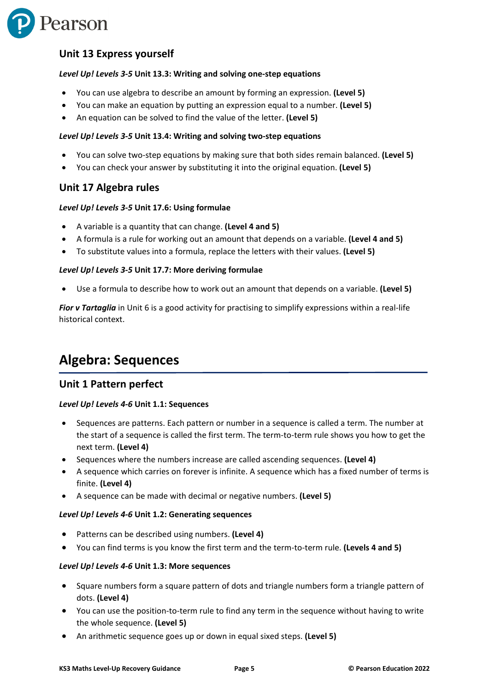

# **Unit 13 Express yourself**

#### *Level Up! Levels 3-5* **Unit 13.3: Writing and solving one-step equations**

- You can use algebra to describe an amount by forming an expression. **(Level 5)**
- You can make an equation by putting an expression equal to a number. **(Level 5)**
- An equation can be solved to find the value of the letter. **(Level 5)**

#### *Level Up! Levels 3-5* **Unit 13.4: Writing and solving two-step equations**

- You can solve two-step equations by making sure that both sides remain balanced. **(Level 5)**
- You can check your answer by substituting it into the original equation. **(Level 5)**

## **Unit 17 Algebra rules**

#### *Level Up! Levels 3-5* **Unit 17.6: Using formulae**

- A variable is a quantity that can change. **(Level 4 and 5)**
- A formula is a rule for working out an amount that depends on a variable. **(Level 4 and 5)**
- To substitute values into a formula, replace the letters with their values. **(Level 5)**

#### *Level Up! Levels 3-5* **Unit 17.7: More deriving formulae**

• Use a formula to describe how to work out an amount that depends on a variable. **(Level 5)**

*Fior v Tartaglia* in Unit 6 is a good activity for practising to simplify expressions within a real-life historical context.

# **Algebra: Sequences**

## **Unit 1 Pattern perfect**

#### *Level Up! Levels 4-6* **Unit 1.1: Sequences**

- Sequences are patterns. Each pattern or number in a sequence is called a term. The number at the start of a sequence is called the first term. The term-to-term rule shows you how to get the next term. **(Level 4)**
- Sequences where the numbers increase are called ascending sequences. **(Level 4)**
- A sequence which carries on forever is infinite. A sequence which has a fixed number of terms is finite. **(Level 4)**
- A sequence can be made with decimal or negative numbers. **(Level 5)**

#### *Level Up! Levels 4-6* **Unit 1.2: Generating sequences**

- Patterns can be described using numbers. **(Level 4)**
- You can find terms is you know the first term and the term-to-term rule. **(Levels 4 and 5)**

#### *Level Up! Levels 4-6* **Unit 1.3: More sequences**

- Square numbers form a square pattern of dots and triangle numbers form a triangle pattern of dots. **(Level 4)**
- You can use the position-to-term rule to find any term in the sequence without having to write the whole sequence. **(Level 5)**
- An arithmetic sequence goes up or down in equal sixed steps. **(Level 5)**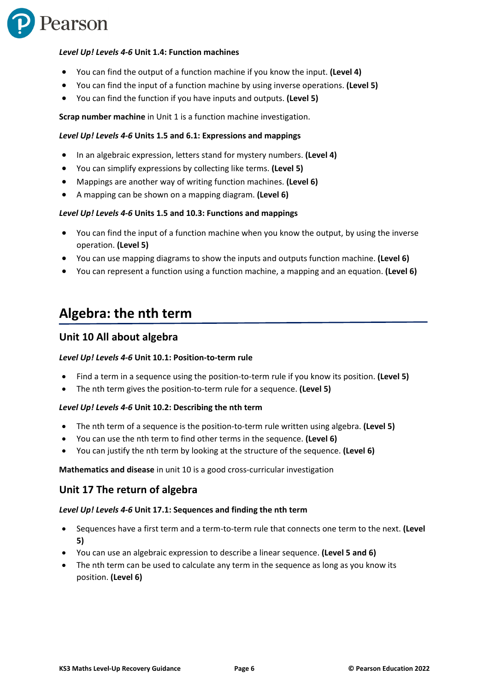

#### *Level Up! Levels 4-6* **Unit 1.4: Function machines**

- You can find the output of a function machine if you know the input. **(Level 4)**
- You can find the input of a function machine by using inverse operations. **(Level 5)**
- You can find the function if you have inputs and outputs. **(Level 5)**

**Scrap number machine** in Unit 1 is a function machine investigation.

#### *Level Up! Levels 4-6* **Units 1.5 and 6.1: Expressions and mappings**

- In an algebraic expression, letters stand for mystery numbers. **(Level 4)**
- You can simplify expressions by collecting like terms. **(Level 5)**
- Mappings are another way of writing function machines. **(Level 6)**
- A mapping can be shown on a mapping diagram. **(Level 6)**

#### *Level Up! Levels 4-6* **Units 1.5 and 10.3: Functions and mappings**

- You can find the input of a function machine when you know the output, by using the inverse operation. **(Level 5)**
- You can use mapping diagrams to show the inputs and outputs function machine. **(Level 6)**
- You can represent a function using a function machine, a mapping and an equation. **(Level 6)**

# **Algebra: the nth term**

## **Unit 10 All about algebra**

#### *Level Up! Levels 4-6* **Unit 10.1: Position-to-term rule**

- Find a term in a sequence using the position-to-term rule if you know its position. **(Level 5)**
- The nth term gives the position-to-term rule for a sequence. **(Level 5)**

#### *Level Up! Levels 4-6* **Unit 10.2: Describing the nth term**

- The nth term of a sequence is the position-to-term rule written using algebra. **(Level 5)**
- You can use the nth term to find other terms in the sequence. **(Level 6)**
- You can justify the nth term by looking at the structure of the sequence. **(Level 6)**

**Mathematics and disease** in unit 10 is a good cross-curricular investigation

#### **Unit 17 The return of algebra**

#### *Level Up! Levels 4-6* **Unit 17.1: Sequences and finding the nth term**

- Sequences have a first term and a term-to-term rule that connects one term to the next. **(Level 5)**
- You can use an algebraic expression to describe a linear sequence. **(Level 5 and 6)**
- The nth term can be used to calculate any term in the sequence as long as you know its position. **(Level 6)**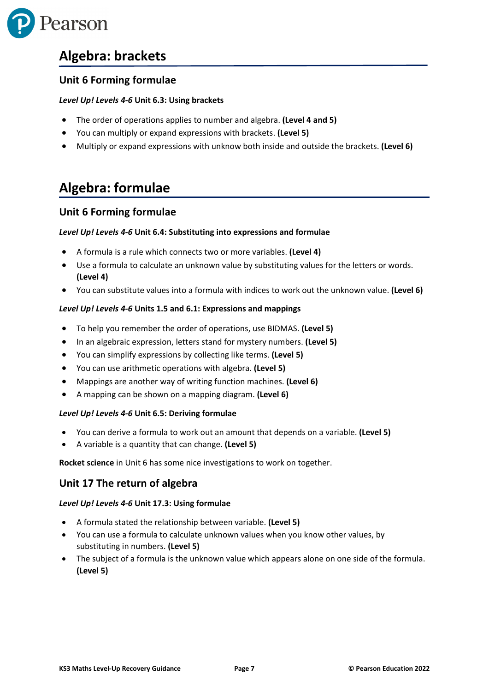

# **Algebra: brackets**

# **Unit 6 Forming formulae**

#### *Level Up! Levels 4-6* **Unit 6.3: Using brackets**

- The order of operations applies to number and algebra. **(Level 4 and 5)**
- You can multiply or expand expressions with brackets. **(Level 5)**
- Multiply or expand expressions with unknow both inside and outside the brackets. **(Level 6)**

# **Algebra: formulae**

# **Unit 6 Forming formulae**

#### *Level Up! Levels 4-6* **Unit 6.4: Substituting into expressions and formulae**

- A formula is a rule which connects two or more variables. **(Level 4)**
- Use a formula to calculate an unknown value by substituting values for the letters or words. **(Level 4)**
- You can substitute values into a formula with indices to work out the unknown value. **(Level 6)**

#### *Level Up! Levels 4-6* **Units 1.5 and 6.1: Expressions and mappings**

- To help you remember the order of operations, use BIDMAS. **(Level 5)**
- In an algebraic expression, letters stand for mystery numbers. **(Level 5)**
- You can simplify expressions by collecting like terms. **(Level 5)**
- You can use arithmetic operations with algebra. **(Level 5)**
- Mappings are another way of writing function machines. **(Level 6)**
- A mapping can be shown on a mapping diagram. **(Level 6)**

#### *Level Up! Levels 4-6* **Unit 6.5: Deriving formulae**

- You can derive a formula to work out an amount that depends on a variable. **(Level 5)**
- A variable is a quantity that can change. **(Level 5)**

**Rocket science** in Unit 6 has some nice investigations to work on together.

## **Unit 17 The return of algebra**

#### *Level Up! Levels 4-6* **Unit 17.3: Using formulae**

- A formula stated the relationship between variable. **(Level 5)**
- You can use a formula to calculate unknown values when you know other values, by substituting in numbers. **(Level 5)**
- The subject of a formula is the unknown value which appears alone on one side of the formula. **(Level 5)**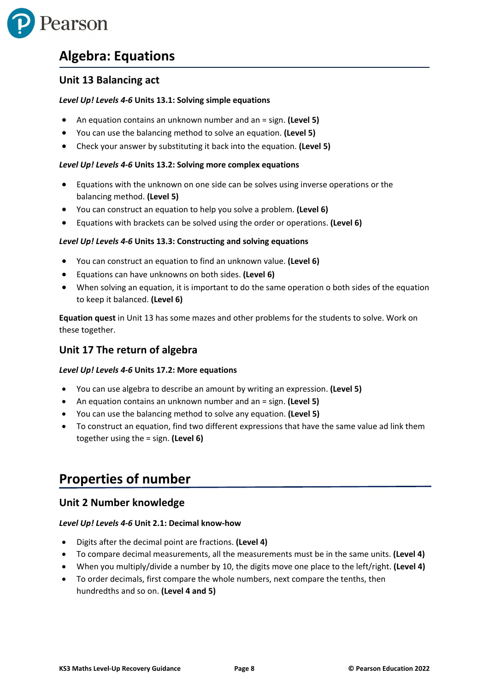

# **Algebra: Equations**

# **Unit 13 Balancing act**

#### *Level Up! Levels 4-6* **Units 13.1: Solving simple equations**

- An equation contains an unknown number and an = sign. **(Level 5)**
- You can use the balancing method to solve an equation. **(Level 5)**
- Check your answer by substituting it back into the equation. **(Level 5)**

#### *Level Up! Levels 4-6* **Units 13.2: Solving more complex equations**

- Equations with the unknown on one side can be solves using inverse operations or the balancing method. **(Level 5)**
- You can construct an equation to help you solve a problem. **(Level 6)**
- Equations with brackets can be solved using the order or operations. **(Level 6)**

#### *Level Up! Levels 4-6* **Units 13.3: Constructing and solving equations**

- You can construct an equation to find an unknown value. **(Level 6)**
- Equations can have unknowns on both sides. **(Level 6)**
- When solving an equation, it is important to do the same operation o both sides of the equation to keep it balanced. **(Level 6)**

**Equation quest** in Unit 13 has some mazes and other problems for the students to solve. Work on these together.

# **Unit 17 The return of algebra**

#### *Level Up! Levels 4-6* **Units 17.2: More equations**

- You can use algebra to describe an amount by writing an expression. **(Level 5)**
- An equation contains an unknown number and an = sign. **(Level 5)**
- You can use the balancing method to solve any equation. **(Level 5)**
- To construct an equation, find two different expressions that have the same value ad link them together using the = sign. **(Level 6)**

# **Properties of number**

## **Unit 2 Number knowledge**

#### *Level Up! Levels 4-6* **Unit 2.1: Decimal know-how**

- Digits after the decimal point are fractions. **(Level 4)**
- To compare decimal measurements, all the measurements must be in the same units. **(Level 4)**
- When you multiply/divide a number by 10, the digits move one place to the left/right. **(Level 4)**
- To order decimals, first compare the whole numbers, next compare the tenths, then hundredths and so on. **(Level 4 and 5)**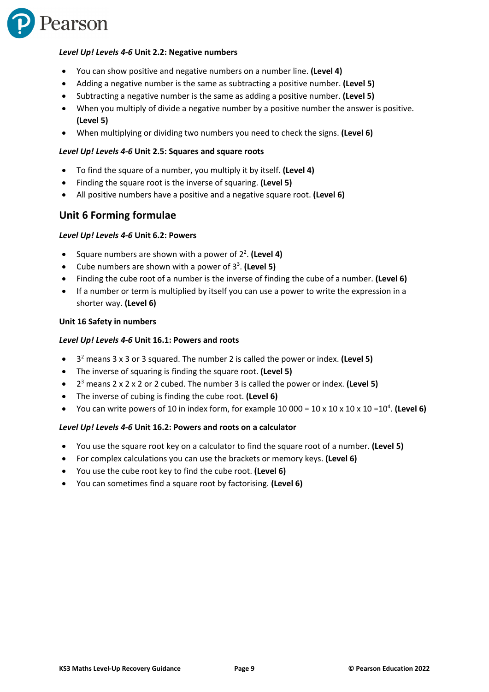

#### *Level Up! Levels 4-6* **Unit 2.2: Negative numbers**

- You can show positive and negative numbers on a number line. **(Level 4)**
- Adding a negative number is the same as subtracting a positive number. **(Level 5)**
- Subtracting a negative number is the same as adding a positive number. **(Level 5)**
- When you multiply of divide a negative number by a positive number the answer is positive. **(Level 5)**
- When multiplying or dividing two numbers you need to check the signs. **(Level 6)**

#### *Level Up! Levels 4-6* **Unit 2.5: Squares and square roots**

- To find the square of a number, you multiply it by itself. **(Level 4)**
- Finding the square root is the inverse of squaring. **(Level 5)**
- All positive numbers have a positive and a negative square root. **(Level 6)**

# **Unit 6 Forming formulae**

#### *Level Up! Levels 4-6* **Unit 6.2: Powers**

- Square numbers are shown with a power of 22 . **(Level 4)**
- Cube numbers are shown with a power of 3<sup>3</sup>. (Level 5)
- Finding the cube root of a number is the inverse of finding the cube of a number. **(Level 6)**
- If a number or term is multiplied by itself you can use a power to write the expression in a shorter way. **(Level 6)**

#### **Unit 16 Safety in numbers**

#### *Level Up! Levels 4-6* **Unit 16.1: Powers and roots**

- 32 means 3 x 3 or 3 squared. The number 2 is called the power or index. **(Level 5)**
- The inverse of squaring is finding the square root. **(Level 5)**
- 23 means 2 x 2 x 2 or 2 cubed. The number 3 is called the power or index. **(Level 5)**
- The inverse of cubing is finding the cube root. **(Level 6)**
- You can write powers of 10 in index form, for example 10 000 = 10 x 10 x 10 x 10 = 10<sup>4</sup>. (Level 6)

#### *Level Up! Levels 4-6* **Unit 16.2: Powers and roots on a calculator**

- You use the square root key on a calculator to find the square root of a number. **(Level 5)**
- For complex calculations you can use the brackets or memory keys. **(Level 6)**
- You use the cube root key to find the cube root. **(Level 6)**
- You can sometimes find a square root by factorising. **(Level 6)**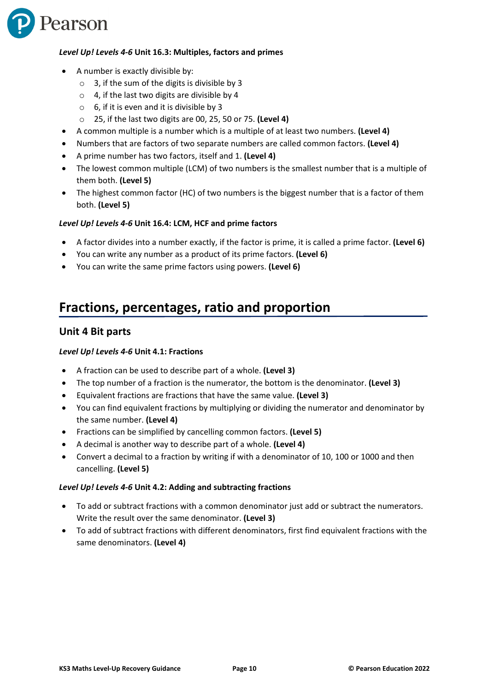

#### *Level Up! Levels 4-6* **Unit 16.3: Multiples, factors and primes**

- A number is exactly divisible by:
	- o 3, if the sum of the digits is divisible by 3
	- $\circ$  4, if the last two digits are divisible by 4
	- $\circ$  6, if it is even and it is divisible by 3
	- o 25, if the last two digits are 00, 25, 50 or 75. **(Level 4)**
- A common multiple is a number which is a multiple of at least two numbers. **(Level 4)**
- Numbers that are factors of two separate numbers are called common factors. **(Level 4)**
- A prime number has two factors, itself and 1. **(Level 4)**
- The lowest common multiple (LCM) of two numbers is the smallest number that is a multiple of them both. **(Level 5)**
- The highest common factor (HC) of two numbers is the biggest number that is a factor of them both. **(Level 5)**

#### *Level Up! Levels 4-6* **Unit 16.4: LCM, HCF and prime factors**

- A factor divides into a number exactly, if the factor is prime, it is called a prime factor. **(Level 6)**
- You can write any number as a product of its prime factors. **(Level 6)**
- You can write the same prime factors using powers. **(Level 6)**

# **Fractions, percentages, ratio and proportion**

### **Unit 4 Bit parts**

#### *Level Up! Levels 4-6* **Unit 4.1: Fractions**

- A fraction can be used to describe part of a whole. **(Level 3)**
- The top number of a fraction is the numerator, the bottom is the denominator. **(Level 3)**
- Equivalent fractions are fractions that have the same value. **(Level 3)**
- You can find equivalent fractions by multiplying or dividing the numerator and denominator by the same number. **(Level 4)**
- Fractions can be simplified by cancelling common factors. **(Level 5)**
- A decimal is another way to describe part of a whole. **(Level 4)**
- Convert a decimal to a fraction by writing if with a denominator of 10, 100 or 1000 and then cancelling. **(Level 5)**

#### *Level Up! Levels 4-6* **Unit 4.2: Adding and subtracting fractions**

- To add or subtract fractions with a common denominator just add or subtract the numerators. Write the result over the same denominator. **(Level 3)**
- To add of subtract fractions with different denominators, first find equivalent fractions with the same denominators. **(Level 4)**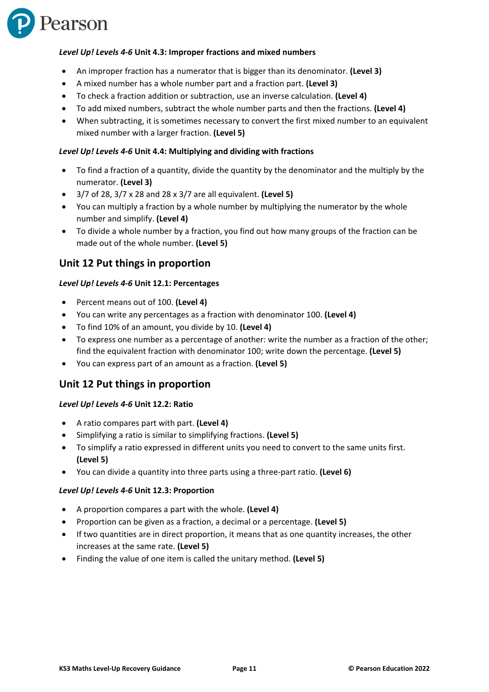

#### *Level Up! Levels 4-6* **Unit 4.3: Improper fractions and mixed numbers**

- An improper fraction has a numerator that is bigger than its denominator. **(Level 3)**
- A mixed number has a whole number part and a fraction part. **(Level 3)**
- To check a fraction addition or subtraction, use an inverse calculation. **(Level 4)**
- To add mixed numbers, subtract the whole number parts and then the fractions. **(Level 4)**
- When subtracting, it is sometimes necessary to convert the first mixed number to an equivalent mixed number with a larger fraction. **(Level 5)**

#### *Level Up! Levels 4-6* **Unit 4.4: Multiplying and dividing with fractions**

- To find a fraction of a quantity, divide the quantity by the denominator and the multiply by the numerator. **(Level 3)**
- 3/7 of 28, 3/7 x 28 and 28 x 3/7 are all equivalent. **(Level 5)**
- You can multiply a fraction by a whole number by multiplying the numerator by the whole number and simplify. **(Level 4)**
- To divide a whole number by a fraction, you find out how many groups of the fraction can be made out of the whole number. **(Level 5)**

## **Unit 12 Put things in proportion**

#### *Level Up! Levels 4-6* **Unit 12.1: Percentages**

- Percent means out of 100. **(Level 4)**
- You can write any percentages as a fraction with denominator 100. **(Level 4)**
- To find 10% of an amount, you divide by 10. **(Level 4)**
- To express one number as a percentage of another: write the number as a fraction of the other; find the equivalent fraction with denominator 100; write down the percentage. **(Level 5)**
- You can express part of an amount as a fraction. **(Level 5)**

## **Unit 12 Put things in proportion**

#### *Level Up! Levels 4-6* **Unit 12.2: Ratio**

- A ratio compares part with part. **(Level 4)**
- Simplifying a ratio is similar to simplifying fractions. **(Level 5)**
- To simplify a ratio expressed in different units you need to convert to the same units first. **(Level 5)**
- You can divide a quantity into three parts using a three-part ratio. **(Level 6)**

#### *Level Up! Levels 4-6* **Unit 12.3: Proportion**

- A proportion compares a part with the whole. **(Level 4)**
- Proportion can be given as a fraction, a decimal or a percentage. **(Level 5)**
- If two quantities are in direct proportion, it means that as one quantity increases, the other increases at the same rate. **(Level 5)**
- Finding the value of one item is called the unitary method. **(Level 5)**